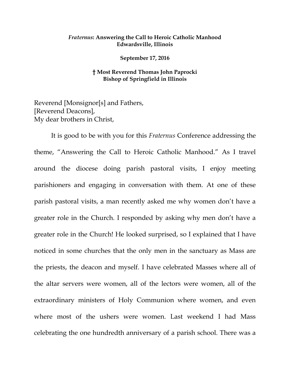### *Fraternus***: Answering the Call to Heroic Catholic Manhood Edwardsville, Illinois**

**September 17, 2016**

## **† Most Reverend Thomas John Paprocki Bishop of Springfield in Illinois**

Reverend [Monsignor[s] and Fathers, [Reverend Deacons], My dear brothers in Christ,

It is good to be with you for this *Fraternus* Conference addressing the theme, "Answering the Call to Heroic Catholic Manhood." As I travel around the diocese doing parish pastoral visits, I enjoy meeting parishioners and engaging in conversation with them. At one of these parish pastoral visits, a man recently asked me why women don't have a greater role in the Church. I responded by asking why men don't have a greater role in the Church! He looked surprised, so I explained that I have noticed in some churches that the only men in the sanctuary as Mass are the priests, the deacon and myself. I have celebrated Masses where all of the altar servers were women, all of the lectors were women, all of the extraordinary ministers of Holy Communion where women, and even where most of the ushers were women. Last weekend I had Mass celebrating the one hundredth anniversary of a parish school. There was a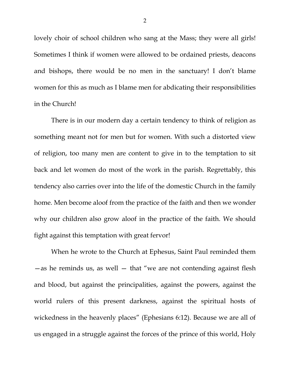lovely choir of school children who sang at the Mass; they were all girls! Sometimes I think if women were allowed to be ordained priests, deacons and bishops, there would be no men in the sanctuary! I don't blame women for this as much as I blame men for abdicating their responsibilities in the Church!

There is in our modern day a certain tendency to think of religion as something meant not for men but for women. With such a distorted view of religion, too many men are content to give in to the temptation to sit back and let women do most of the work in the parish. Regrettably, this tendency also carries over into the life of the domestic Church in the family home. Men become aloof from the practice of the faith and then we wonder why our children also grow aloof in the practice of the faith. We should fight against this temptation with great fervor!

When he wrote to the Church at Ephesus, Saint Paul reminded them  $-\text{as}$  he reminds us, as well  $-\text{ that}$  "we are not contending against flesh and blood, but against the principalities, against the powers, against the world rulers of this present darkness, against the spiritual hosts of wickedness in the heavenly places" (Ephesians 6:12). Because we are all of us engaged in a struggle against the forces of the prince of this world, Holy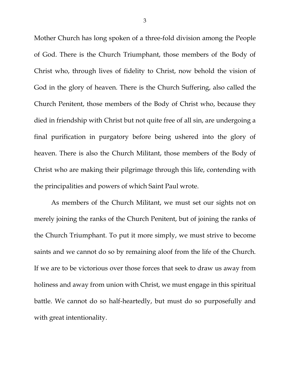Mother Church has long spoken of a three-fold division among the People of God. There is the Church Triumphant, those members of the Body of Christ who, through lives of fidelity to Christ, now behold the vision of God in the glory of heaven. There is the Church Suffering, also called the Church Penitent, those members of the Body of Christ who, because they died in friendship with Christ but not quite free of all sin, are undergoing a final purification in purgatory before being ushered into the glory of heaven. There is also the Church Militant, those members of the Body of Christ who are making their pilgrimage through this life, contending with the principalities and powers of which Saint Paul wrote.

As members of the Church Militant, we must set our sights not on merely joining the ranks of the Church Penitent, but of joining the ranks of the Church Triumphant. To put it more simply, we must strive to become saints and we cannot do so by remaining aloof from the life of the Church. If we are to be victorious over those forces that seek to draw us away from holiness and away from union with Christ, we must engage in this spiritual battle. We cannot do so half-heartedly, but must do so purposefully and with great intentionality.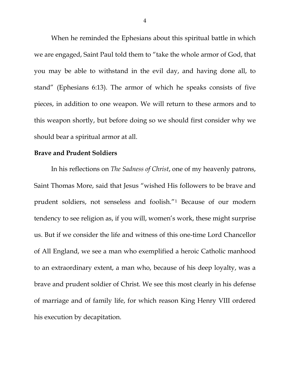When he reminded the Ephesians about this spiritual battle in which we are engaged, Saint Paul told them to "take the whole armor of God, that you may be able to withstand in the evil day, and having done all, to stand" (Ephesians 6:13). The armor of which he speaks consists of five pieces, in addition to one weapon. We will return to these armors and to this weapon shortly, but before doing so we should first consider why we should bear a spiritual armor at all.

## **Brave and Prudent Soldiers**

In his reflections on *The Sadness of Christ*, one of my heavenly patrons, Saint Thomas More, said that Jesus "wished His followers to be brave and prudent soldiers, not senseless and foolish.["1](#page-6-0) Because of our modern tendency to see religion as, if you will, women's work, these might surprise us. But if we consider the life and witness of this one-time Lord Chancellor of All England, we see a man who exemplified a heroic Catholic manhood to an extraordinary extent, a man who, because of his deep loyalty, was a brave and prudent soldier of Christ. We see this most clearly in his defense of marriage and of family life, for which reason King Henry VIII ordered his execution by decapitation.

4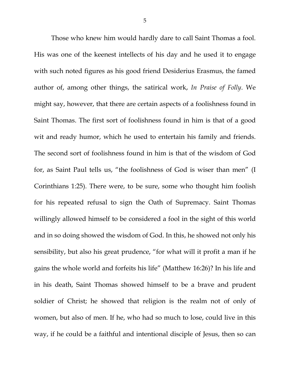Those who knew him would hardly dare to call Saint Thomas a fool. His was one of the keenest intellects of his day and he used it to engage with such noted figures as his good friend Desiderius Erasmus, the famed author of, among other things, the satirical work, *In Praise of Folly*. We might say, however, that there are certain aspects of a foolishness found in Saint Thomas. The first sort of foolishness found in him is that of a good wit and ready humor, which he used to entertain his family and friends. The second sort of foolishness found in him is that of the wisdom of God for, as Saint Paul tells us, "the foolishness of God is wiser than men" (I Corinthians 1:25). There were, to be sure, some who thought him foolish for his repeated refusal to sign the Oath of Supremacy. Saint Thomas willingly allowed himself to be considered a fool in the sight of this world and in so doing showed the wisdom of God. In this, he showed not only his sensibility, but also his great prudence, "for what will it profit a man if he gains the whole world and forfeits his life" (Matthew 16:26)? In his life and in his death, Saint Thomas showed himself to be a brave and prudent soldier of Christ; he showed that religion is the realm not of only of women, but also of men. If he, who had so much to lose, could live in this way, if he could be a faithful and intentional disciple of Jesus, then so can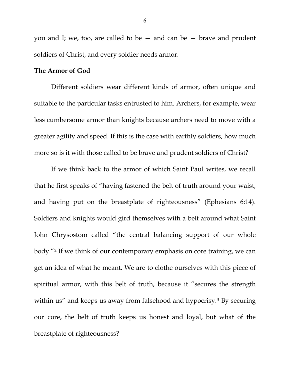you and I; we, too, are called to be — and can be — brave and prudent soldiers of Christ, and every soldier needs armor.

### **The Armor of God**

Different soldiers wear different kinds of armor, often unique and suitable to the particular tasks entrusted to him. Archers, for example, wear less cumbersome armor than knights because archers need to move with a greater agility and speed. If this is the case with earthly soldiers, how much more so is it with those called to be brave and prudent soldiers of Christ?

If we think back to the armor of which Saint Paul writes, we recall that he first speaks of "having fastened the belt of truth around your waist, and having put on the breastplate of righteousness" (Ephesians 6:14). Soldiers and knights would gird themselves with a belt around what Saint John Chrysostom called "the central balancing support of our whole body."[2](#page-6-1) If we think of our contemporary emphasis on core training, we can get an idea of what he meant. We are to clothe ourselves with this piece of spiritual armor, with this belt of truth, because it "secures the strength within us" and keeps us away from falsehood and hypocrisy.<sup>[3](#page-6-2)</sup> By securing our core, the belt of truth keeps us honest and loyal, but what of the breastplate of righteousness?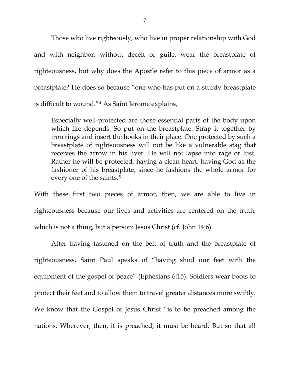<span id="page-6-3"></span><span id="page-6-2"></span><span id="page-6-1"></span><span id="page-6-0"></span>Those who live righteously, who live in proper relationship with God and with neighbor, without deceit or guile, wear the breastplate of righteousness, but why does the Apostle refer to this piece of armor as a breastplate? He does so because "one who has put on a sturdy breastplate is difficult to wound."[4](#page-6-3) As Saint Jerome explains,

<span id="page-6-8"></span><span id="page-6-7"></span><span id="page-6-6"></span><span id="page-6-5"></span><span id="page-6-4"></span>Especially well-protected are those essential parts of the body upon which life depends. So put on the breastplate. Strap it together by iron rings and insert the hooks in their place. One protected by such a breastplate of righteousness will not be like a vulnerable stag that receives the arrow in his liver. He will not lapse into rage or lust. Rather he will be protected, having a clean heart, having God as the fashioner of his breastplate, since he fashions the whole armor for every one of the saints.<sup>[5](#page-6-4)</sup>

<span id="page-6-14"></span><span id="page-6-13"></span><span id="page-6-12"></span><span id="page-6-11"></span><span id="page-6-10"></span><span id="page-6-9"></span>With these first two pieces of armor, then, we are able to live in righteousness because our lives and activities are centered on the truth, which is not a thing, but a person: Jesus Christ (cf. John 14:6).

<span id="page-6-19"></span><span id="page-6-18"></span><span id="page-6-17"></span><span id="page-6-16"></span><span id="page-6-15"></span>After having fastened on the belt of truth and the breastplate of righteousness, Saint Paul speaks of "having shod our feet with the equipment of the gospel of peace" (Ephesians 6:15). Soldiers wear boots to protect their feet and to allow them to travel greater distances more swiftly. We know that the Gospel of Jesus Christ "is to be preached among the nations. Wherever, then, it is preached, it must be heard. But so that all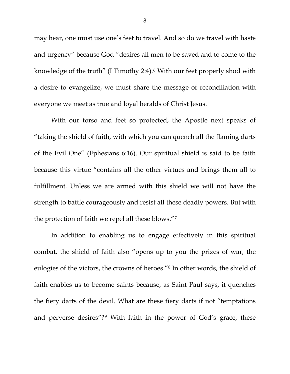may hear, one must use one's feet to travel. And so do we travel with haste and urgency" because God "desires all men to be saved and to come to the knowledge of the truth" (I Timothy 2:4).[6](#page-6-5) With our feet properly shod with a desire to evangelize, we must share the message of reconciliation with everyone we meet as true and loyal heralds of Christ Jesus.

With our torso and feet so protected, the Apostle next speaks of "taking the shield of faith, with which you can quench all the flaming darts of the Evil One" (Ephesians 6:16). Our spiritual shield is said to be faith because this virtue "contains all the other virtues and brings them all to fulfillment. Unless we are armed with this shield we will not have the strength to battle courageously and resist all these deadly powers. But with the protection of faith we repel all these blows."[7](#page-6-6)

In addition to enabling us to engage effectively in this spiritual combat, the shield of faith also "opens up to you the prizes of war, the eulogies of the victors, the crowns of heroes.["8](#page-6-7) In other words, the shield of faith enables us to become saints because, as Saint Paul says, it quenches the fiery darts of the devil. What are these fiery darts if not "temptations and perverse desires"?[9](#page-6-8) With faith in the power of God's grace, these

8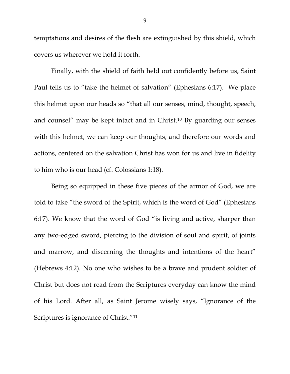temptations and desires of the flesh are extinguished by this shield, which covers us wherever we hold it forth.

Finally, with the shield of faith held out confidently before us, Saint Paul tells us to "take the helmet of salvation" (Ephesians 6:17). We place this helmet upon our heads so "that all our senses, mind, thought, speech, and counsel" may be kept intact and in Christ.[10](#page-6-9) By guarding our senses with this helmet, we can keep our thoughts, and therefore our words and actions, centered on the salvation Christ has won for us and live in fidelity to him who is our head (cf. Colossians 1:18).

Being so equipped in these five pieces of the armor of God, we are told to take "the sword of the Spirit, which is the word of God" (Ephesians 6:17). We know that the word of God "is living and active, sharper than any two-edged sword, piercing to the division of soul and spirit, of joints and marrow, and discerning the thoughts and intentions of the heart" (Hebrews 4:12). No one who wishes to be a brave and prudent soldier of Christ but does not read from the Scriptures everyday can know the mind of his Lord. After all, as Saint Jerome wisely says, "Ignorance of the Scriptures is ignorance of Christ."[11](#page-6-10)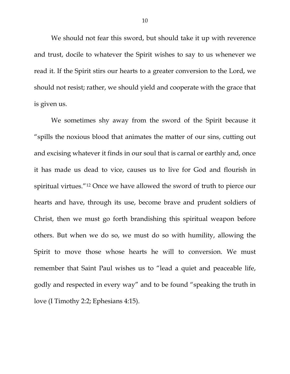We should not fear this sword, but should take it up with reverence and trust, docile to whatever the Spirit wishes to say to us whenever we read it. If the Spirit stirs our hearts to a greater conversion to the Lord, we should not resist; rather, we should yield and cooperate with the grace that is given us.

We sometimes shy away from the sword of the Spirit because it "spills the noxious blood that animates the matter of our sins, cutting out and excising whatever it finds in our soul that is carnal or earthly and, once it has made us dead to vice, causes us to live for God and flourish in spiritual virtues.["12](#page-6-11) Once we have allowed the sword of truth to pierce our hearts and have, through its use, become brave and prudent soldiers of Christ, then we must go forth brandishing this spiritual weapon before others. But when we do so, we must do so with humility, allowing the Spirit to move those whose hearts he will to conversion. We must remember that Saint Paul wishes us to "lead a quiet and peaceable life, godly and respected in every way" and to be found "speaking the truth in love (I Timothy 2:2; Ephesians 4:15).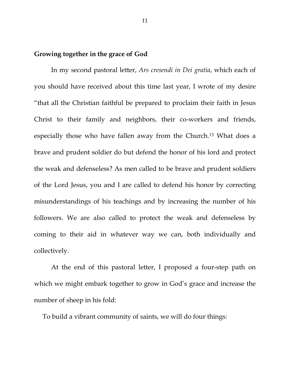# **Growing together in the grace of God**

In my second pastoral letter, *Ars cresendi in Dei gratia*, which each of you should have received about this time last year, I wrote of my desire "that all the Christian faithful be prepared to proclaim their faith in Jesus Christ to their family and neighbors, their co-workers and friends, especially those who have fallen away from the Church.[13](#page-6-12) What does a brave and prudent soldier do but defend the honor of his lord and protect the weak and defenseless? As men called to be brave and prudent soldiers of the Lord Jesus, you and I are called to defend his honor by correcting misunderstandings of his teachings and by increasing the number of his followers. We are also called to protect the weak and defenseless by coming to their aid in whatever way we can, both individually and collectively.

At the end of this pastoral letter, I proposed a four-step path on which we might embark together to grow in God's grace and increase the number of sheep in his fold:

To build a vibrant community of saints, we will do four things: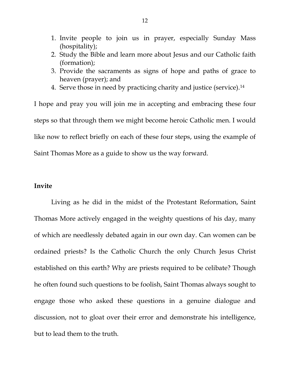- 1. Invite people to join us in prayer, especially Sunday Mass (hospitality);
- 2. Study the Bible and learn more about Jesus and our Catholic faith (formation);
- 3. Provide the sacraments as signs of hope and paths of grace to heaven (prayer); and
- 4. Serve those in need by practicing charity and justice (service).[14](#page-6-13)

I hope and pray you will join me in accepting and embracing these four steps so that through them we might become heroic Catholic men. I would like now to reflect briefly on each of these four steps, using the example of Saint Thomas More as a guide to show us the way forward.

## **Invite**

Living as he did in the midst of the Protestant Reformation, Saint Thomas More actively engaged in the weighty questions of his day, many of which are needlessly debated again in our own day. Can women can be ordained priests? Is the Catholic Church the only Church Jesus Christ established on this earth? Why are priests required to be celibate? Though he often found such questions to be foolish, Saint Thomas always sought to engage those who asked these questions in a genuine dialogue and discussion, not to gloat over their error and demonstrate his intelligence, but to lead them to the truth.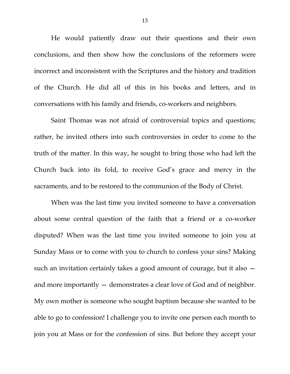He would patiently draw out their questions and their own conclusions, and then show how the conclusions of the reformers were incorrect and inconsistent with the Scriptures and the history and tradition of the Church. He did all of this in his books and letters, and in conversations with his family and friends, co-workers and neighbors.

Saint Thomas was not afraid of controversial topics and questions; rather, he invited others into such controversies in order to come to the truth of the matter. In this way, he sought to bring those who had left the Church back into its fold, to receive God's grace and mercy in the sacraments, and to be restored to the communion of the Body of Christ.

When was the last time you invited someone to have a conversation about some central question of the faith that a friend or a co-worker disputed? When was the last time you invited someone to join you at Sunday Mass or to come with you to church to confess your sins? Making such an invitation certainly takes a good amount of courage, but it also and more importantly — demonstrates a clear love of God and of neighbor. My own mother is someone who sought baptism because she wanted to be able to go to confession! I challenge you to invite one person each month to join you at Mass or for the confession of sins. But before they accept your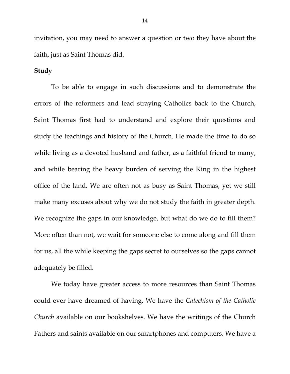invitation, you may need to answer a question or two they have about the faith, just as Saint Thomas did.

# **Study**

To be able to engage in such discussions and to demonstrate the errors of the reformers and lead straying Catholics back to the Church, Saint Thomas first had to understand and explore their questions and study the teachings and history of the Church. He made the time to do so while living as a devoted husband and father, as a faithful friend to many, and while bearing the heavy burden of serving the King in the highest office of the land. We are often not as busy as Saint Thomas, yet we still make many excuses about why we do not study the faith in greater depth. We recognize the gaps in our knowledge, but what do we do to fill them? More often than not, we wait for someone else to come along and fill them for us, all the while keeping the gaps secret to ourselves so the gaps cannot adequately be filled.

We today have greater access to more resources than Saint Thomas could ever have dreamed of having. We have the *Catechism of the Catholic Church* available on our bookshelves. We have the writings of the Church Fathers and saints available on our smartphones and computers. We have a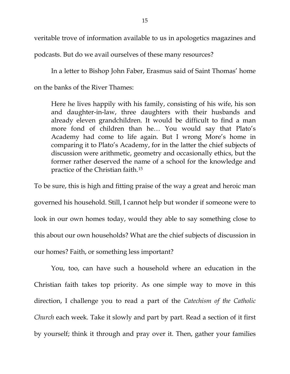veritable trove of information available to us in apologetics magazines and

podcasts. But do we avail ourselves of these many resources?

In a letter to Bishop John Faber, Erasmus said of Saint Thomas' home on the banks of the River Thames:

Here he lives happily with his family, consisting of his wife, his son and daughter-in-law, three daughters with their husbands and already eleven grandchildren. It would be difficult to find a man more fond of children than he… You would say that Plato's Academy had come to life again. But I wrong More's home in comparing it to Plato's Academy, for in the latter the chief subjects of discussion were arithmetic, geometry and occasionally ethics, but the former rather deserved the name of a school for the knowledge and practice of the Christian faith[.15](#page-6-14)

To be sure, this is high and fitting praise of the way a great and heroic man governed his household. Still, I cannot help but wonder if someone were to look in our own homes today, would they able to say something close to this about our own households? What are the chief subjects of discussion in our homes? Faith, or something less important?

You, too, can have such a household where an education in the Christian faith takes top priority. As one simple way to move in this direction, I challenge you to read a part of the *Catechism of the Catholic Church* each week. Take it slowly and part by part. Read a section of it first by yourself; think it through and pray over it. Then, gather your families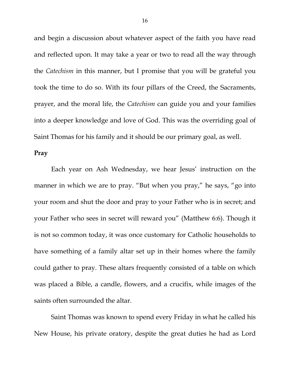and begin a discussion about whatever aspect of the faith you have read and reflected upon. It may take a year or two to read all the way through the *Catechism* in this manner, but I promise that you will be grateful you took the time to do so. With its four pillars of the Creed, the Sacraments, prayer, and the moral life, the *Catechism* can guide you and your families into a deeper knowledge and love of God. This was the overriding goal of Saint Thomas for his family and it should be our primary goal, as well.

### **Pray**

Each year on Ash Wednesday, we hear Jesus' instruction on the manner in which we are to pray. "But when you pray," he says, "go into your room and shut the door and pray to your Father who is in secret; and your Father who sees in secret will reward you" (Matthew 6:6). Though it is not so common today, it was once customary for Catholic households to have something of a family altar set up in their homes where the family could gather to pray. These altars frequently consisted of a table on which was placed a Bible, a candle, flowers, and a crucifix, while images of the saints often surrounded the altar.

Saint Thomas was known to spend every Friday in what he called his New House, his private oratory, despite the great duties he had as Lord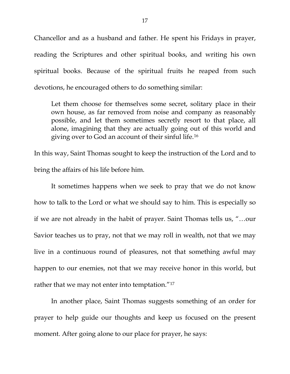Chancellor and as a husband and father. He spent his Fridays in prayer, reading the Scriptures and other spiritual books, and writing his own spiritual books. Because of the spiritual fruits he reaped from such devotions, he encouraged others to do something similar:

Let them choose for themselves some secret, solitary place in their own house, as far removed from noise and company as reasonably possible, and let them sometimes secretly resort to that place, all alone, imagining that they are actually going out of this world and giving over to God an account of their sinful life.[16](#page-6-15)

In this way, Saint Thomas sought to keep the instruction of the Lord and to bring the affairs of his life before him.

It sometimes happens when we seek to pray that we do not know how to talk to the Lord or what we should say to him. This is especially so if we are not already in the habit of prayer. Saint Thomas tells us, "…our Savior teaches us to pray, not that we may roll in wealth, not that we may live in a continuous round of pleasures, not that something awful may happen to our enemies, not that we may receive honor in this world, but rather that we may not enter into temptation."<sup>17</sup>

In another place, Saint Thomas suggests something of an order for prayer to help guide our thoughts and keep us focused on the present moment. After going alone to our place for prayer, he says: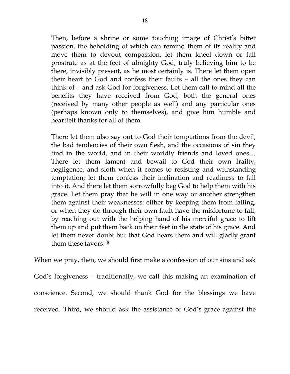Then, before a shrine or some touching image of Christ's bitter passion, the beholding of which can remind them of its reality and move them to devout compassion, let them kneel down or fall prostrate as at the feet of almighty God, truly believing him to be there, invisibly present, as he most certainly is. There let them open their heart to God and confess their faults – all the ones they can think of – and ask God for forgiveness. Let them call to mind all the benefits they have received from God, both the general ones (received by many other people as well) and any particular ones (perhaps known only to themselves), and give him humble and heartfelt thanks for all of them.

There let them also say out to God their temptations from the devil, the bad tendencies of their own flesh, and the occasions of sin they find in the world, and in their worldly friends and loved ones… There let them lament and bewail to God their own frailty, negligence, and sloth when it comes to resisting and withstanding temptation; let them confess their inclination and readiness to fall into it. And there let them sorrowfully beg God to help them with his grace. Let them pray that he will in one way or another strengthen them against their weaknesses: either by keeping them from falling, or when they do through their own fault have the misfortune to fall, by reaching out with the helping hand of his merciful grace to lift them up and put them back on their feet in the state of his grace. And let them never doubt but that God hears them and will gladly grant them these favors.[18](#page-6-17)

When we pray, then, we should first make a confession of our sins and ask God's forgiveness – traditionally, we call this making an examination of conscience. Second, we should thank God for the blessings we have received. Third, we should ask the assistance of God's grace against the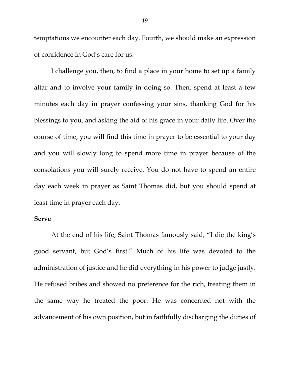temptations we encounter each day. Fourth, we should make an expression of confidence in God's care for us.

I challenge you, then, to find a place in your home to set up a family altar and to involve your family in doing so. Then, spend at least a few minutes each day in prayer confessing your sins, thanking God for his blessings to you, and asking the aid of his grace in your daily life. Over the course of time, you will find this time in prayer to be essential to your day and you will slowly long to spend more time in prayer because of the consolations you will surely receive. You do not have to spend an entire day each week in prayer as Saint Thomas did, but you should spend at least time in prayer each day.

## **Serve**

At the end of his life, Saint Thomas famously said, "I die the king's good servant, but God's first." Much of his life was devoted to the administration of justice and he did everything in his power to judge justly. He refused bribes and showed no preference for the rich, treating them in the same way he treated the poor. He was concerned not with the advancement of his own position, but in faithfully discharging the duties of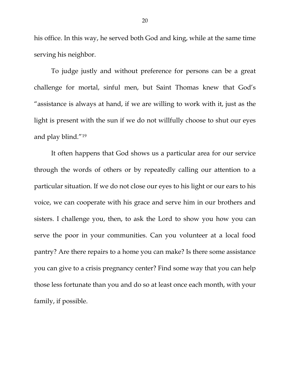his office. In this way, he served both God and king, while at the same time serving his neighbor.

To judge justly and without preference for persons can be a great challenge for mortal, sinful men, but Saint Thomas knew that God's "assistance is always at hand, if we are willing to work with it, just as the light is present with the sun if we do not willfully choose to shut our eyes and play blind."[19](#page-6-18)

It often happens that God shows us a particular area for our service through the words of others or by repeatedly calling our attention to a particular situation. If we do not close our eyes to his light or our ears to his voice, we can cooperate with his grace and serve him in our brothers and sisters. I challenge you, then, to ask the Lord to show you how you can serve the poor in your communities. Can you volunteer at a local food pantry? Are there repairs to a home you can make? Is there some assistance you can give to a crisis pregnancy center? Find some way that you can help those less fortunate than you and do so at least once each month, with your family, if possible.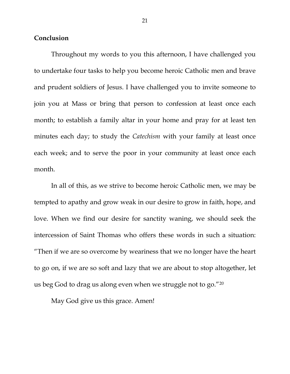### **Conclusion**

Throughout my words to you this afternoon, I have challenged you to undertake four tasks to help you become heroic Catholic men and brave and prudent soldiers of Jesus. I have challenged you to invite someone to join you at Mass or bring that person to confession at least once each month; to establish a family altar in your home and pray for at least ten minutes each day; to study the *Catechism* with your family at least once each week; and to serve the poor in your community at least once each month.

In all of this, as we strive to become heroic Catholic men, we may be tempted to apathy and grow weak in our desire to grow in faith, hope, and love. When we find our desire for sanctity waning, we should seek the intercession of Saint Thomas who offers these words in such a situation: "Then if we are so overcome by weariness that we no longer have the heart to go on, if we are so soft and lazy that we are about to stop altogether, let us beg God to drag us along even when we struggle not to go.["20](#page-6-19)

May God give us this grace. Amen!